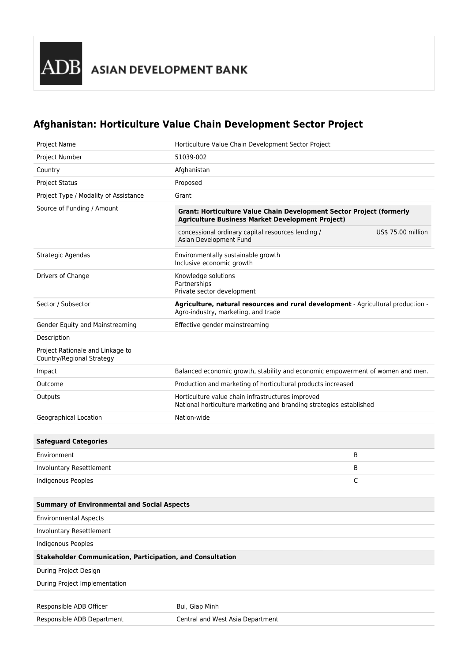## **Afghanistan: Horticulture Value Chain Development Sector Project**

| Project Name                                                      | Horticulture Value Chain Development Sector Project                                                                             |                    |  |
|-------------------------------------------------------------------|---------------------------------------------------------------------------------------------------------------------------------|--------------------|--|
| Project Number                                                    | 51039-002                                                                                                                       |                    |  |
| Country                                                           | Afghanistan                                                                                                                     |                    |  |
| <b>Project Status</b>                                             | Proposed                                                                                                                        |                    |  |
| Project Type / Modality of Assistance                             | Grant                                                                                                                           |                    |  |
| Source of Funding / Amount                                        | Grant: Horticulture Value Chain Development Sector Project (formerly<br><b>Agriculture Business Market Development Project)</b> |                    |  |
|                                                                   | concessional ordinary capital resources lending /<br>Asian Development Fund                                                     | US\$ 75.00 million |  |
| Strategic Agendas                                                 | Environmentally sustainable growth<br>Inclusive economic growth                                                                 |                    |  |
| Drivers of Change                                                 | Knowledge solutions<br>Partnerships<br>Private sector development                                                               |                    |  |
| Sector / Subsector                                                | Agriculture, natural resources and rural development - Agricultural production -<br>Agro-industry, marketing, and trade         |                    |  |
| Gender Equity and Mainstreaming                                   | Effective gender mainstreaming                                                                                                  |                    |  |
| Description                                                       |                                                                                                                                 |                    |  |
| Project Rationale and Linkage to<br>Country/Regional Strategy     |                                                                                                                                 |                    |  |
| Impact                                                            | Balanced economic growth, stability and economic empowerment of women and men.                                                  |                    |  |
| Outcome                                                           | Production and marketing of horticultural products increased                                                                    |                    |  |
| Outputs                                                           | Horticulture value chain infrastructures improved<br>National horticulture marketing and branding strategies established        |                    |  |
| Geographical Location                                             | Nation-wide                                                                                                                     |                    |  |
|                                                                   |                                                                                                                                 |                    |  |
| <b>Safeguard Categories</b>                                       |                                                                                                                                 |                    |  |
| Environment                                                       |                                                                                                                                 | B                  |  |
| Involuntary Resettlement                                          |                                                                                                                                 | B                  |  |
| Indigenous Peoples                                                |                                                                                                                                 | C                  |  |
|                                                                   |                                                                                                                                 |                    |  |
| <b>Summary of Environmental and Social Aspects</b>                |                                                                                                                                 |                    |  |
| <b>Environmental Aspects</b>                                      |                                                                                                                                 |                    |  |
| Involuntary Resettlement                                          |                                                                                                                                 |                    |  |
| <b>Indigenous Peoples</b>                                         |                                                                                                                                 |                    |  |
| <b>Stakeholder Communication, Participation, and Consultation</b> |                                                                                                                                 |                    |  |
| During Project Design                                             |                                                                                                                                 |                    |  |
| During Project Implementation                                     |                                                                                                                                 |                    |  |
|                                                                   |                                                                                                                                 |                    |  |
| Responsible ADB Officer                                           | Bui, Giap Minh                                                                                                                  |                    |  |
| Responsible ADB Department                                        | Central and West Asia Department                                                                                                |                    |  |